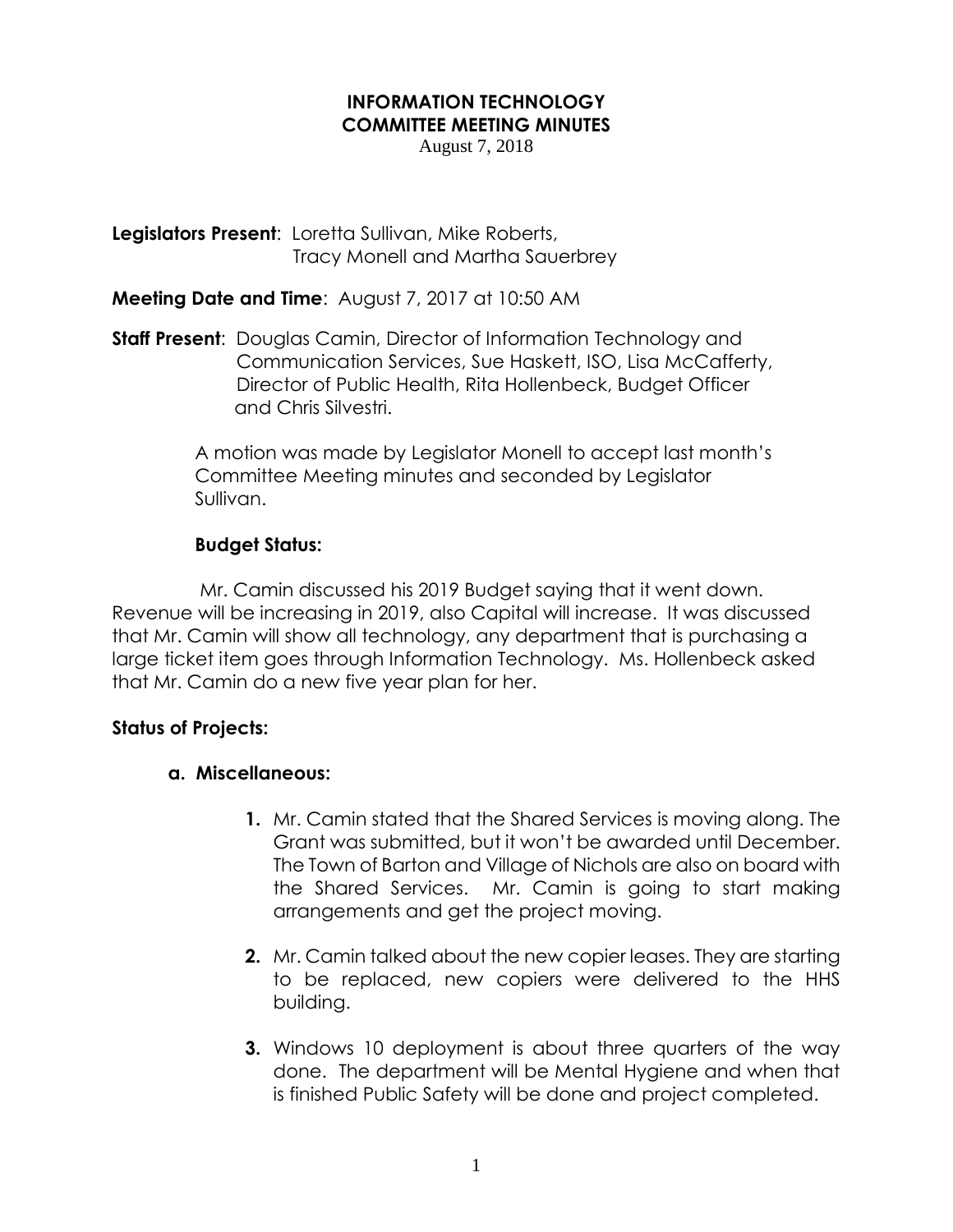#### **INFORMATION TECHNOLOGY COMMITTEE MEETING MINUTES**

August 7, 2018

**Legislators Present**: Loretta Sullivan, Mike Roberts, Tracy Monell and Martha Sauerbrey

## **Meeting Date and Time**: August 7, 2017 at 10:50 AM

**Staff Present**: Douglas Camin, Director of Information Technology and Communication Services, Sue Haskett, ISO, Lisa McCafferty, Director of Public Health, Rita Hollenbeck, Budget Officer and Chris Silvestri.

> A motion was made by Legislator Monell to accept last month's Committee Meeting minutes and seconded by Legislator Sullivan.

# **Budget Status:**

 Mr. Camin discussed his 2019 Budget saying that it went down. Revenue will be increasing in 2019, also Capital will increase. It was discussed that Mr. Camin will show all technology, any department that is purchasing a large ticket item goes through Information Technology. Ms. Hollenbeck asked that Mr. Camin do a new five year plan for her.

## **Status of Projects:**

## **a. Miscellaneous:**

- **1.** Mr. Camin stated that the Shared Services is moving along. The Grant was submitted, but it won't be awarded until December. The Town of Barton and Village of Nichols are also on board with the Shared Services. Mr. Camin is going to start making arrangements and get the project moving.
- **2.** Mr. Camin talked about the new copier leases. They are starting to be replaced, new copiers were delivered to the HHS building.
- **3.** Windows 10 deployment is about three quarters of the way done. The department will be Mental Hygiene and when that is finished Public Safety will be done and project completed.